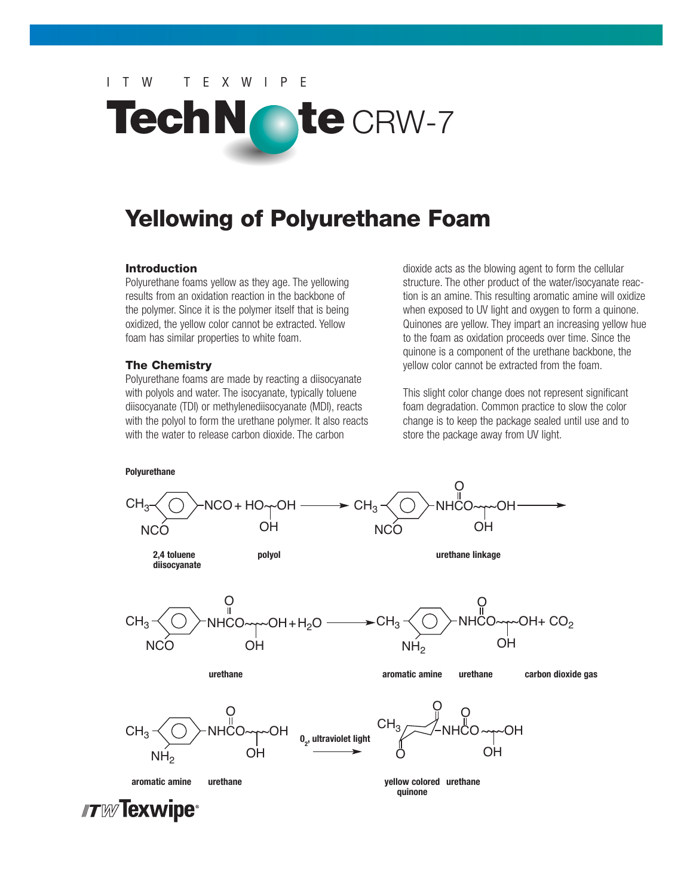# ITW TEXWIPE



# **Yellowing of Polyurethane Foam**

### **Introduction**

Polyurethane foams yellow as they age. The yellowing results from an oxidation reaction in the backbone of the polymer. Since it is the polymer itself that is being oxidized, the yellow color cannot be extracted. Yellow foam has similar properties to white foam.

### **The Chemistry**

Polyurethane foams are made by reacting a diisocyanate with polyols and water. The isocyanate, typically toluene diisocyanate (TDI) or methylenediisocyanate (MDI), reacts with the polyol to form the urethane polymer. It also reacts with the water to release carbon dioxide. The carbon

dioxide acts as the blowing agent to form the cellular structure. The other product of the water/isocyanate reaction is an amine. This resulting aromatic amine will oxidize when exposed to UV light and oxygen to form a quinone. Quinones are yellow. They impart an increasing yellow hue to the foam as oxidation proceeds over time. Since the quinone is a component of the urethane backbone, the yellow color cannot be extracted from the foam.

This slight color change does not represent significant foam degradation. Common practice to slow the color change is to keep the package sealed until use and to store the package away from UV light.